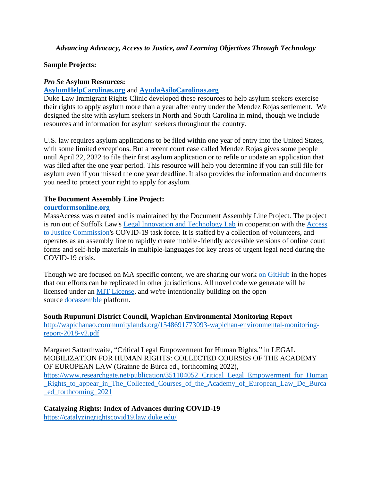# **Sample Projects:**

## *Pro Se* **Asylum Resources:**

# **[AsylumHelpCarolinas.org](https://asylumhelpcarolinas.org/)** and **[AyudaAsiloCarolinas.org](http://www.ayudaasilocarolinas.org/)**

Duke Law Immigrant Rights Clinic developed these resources to help asylum seekers exercise their rights to apply asylum more than a year after entry under the Mendez Rojas settlement. We designed the site with asylum seekers in North and South Carolina in mind, though we include resources and information for asylum seekers throughout the country.

U.S. law requires asylum applications to be filed within one year of entry into the United States, with some limited exceptions. But a recent court case called Mendez Rojas gives some people until April 22, 2022 to file their first asylum application or to refile or update an application that was filed after the one year period. This resource will help you determine if you can still file for asylum even if you missed the one year deadline. It also provides the information and documents you need to protect your right to apply for asylum.

# **The Document Assembly Line Project:**

## **[courtformsonline.org](http://www.courtformsonline.org/)**

MassAccess was created and is maintained by the Document Assembly Line Project. The project is run out of Suffolk Law's [Legal Innovation and Technology Lab](https://suffolklitlab.org/) in cooperation with the [Access](http://www.massa2j.org/a2j/)  [to Justice Commission's](http://www.massa2j.org/a2j/) COVID-19 task force. It is staffed by a collection of volunteers, and operates as an assembly line to rapidly create mobile-friendly accessible versions of online court forms and self-help materials in multiple-languages for key areas of urgent legal need during the COVID-19 crisis.

Though we are focused on MA specific content, we are sharing our work [on GitHub](https://github.com/SuffolkLITLab/doc-assembly-line) in the hopes that our efforts can be replicated in other jurisdictions. All novel code we generate will be licensed under an [MIT License,](https://github.com/SuffolkLITLab/doc-assembly-line/blob/master/LICENSE) and we're intentionally building on the open source [docassemble](https://docassemble.org/) platform.

**South Rupununi District Council, Wapichan Environmental Monitoring Report** [http://wapichanao.communitylands.org/1548691773093-wapichan-environmental-monitoring](https://urldefense.com/v3/__http:/wapichanao.communitylands.org/1548691773093-wapichan-environmental-monitoring-report-2018-v2.pdf__;!!OToaGQ!_ZXpoB3UX95t8jHtZeCSrvlfVqSfeX7x-p6DPwJ0iHgq47-bmj6holuX38jE0pFU1g$)[report-2018-v2.pdf](https://urldefense.com/v3/__http:/wapichanao.communitylands.org/1548691773093-wapichan-environmental-monitoring-report-2018-v2.pdf__;!!OToaGQ!_ZXpoB3UX95t8jHtZeCSrvlfVqSfeX7x-p6DPwJ0iHgq47-bmj6holuX38jE0pFU1g$)

Margaret Satterthwaite, "Critical Legal Empowerment for Human Rights," in LEGAL MOBILIZATION FOR HUMAN RIGHTS: COLLECTED COURSES OF THE ACADEMY OF EUROPEAN LAW (Grainne de Búrca ed., forthcoming 2022),

https://www.researchgate.net/publication/351104052 Critical Legal Empowerment for Human Rights to appear in The Collected Courses of the Academy of European Law De Burca [\\_ed\\_forthcoming\\_2021](https://urldefense.com/v3/__https:/www.researchgate.net/publication/351104052_Critical_Legal_Empowerment_for_Human_Rights_to_appear_in_The_Collected_Courses_of_the_Academy_of_European_Law_De_Burca_ed_forthcoming_2021__;!!OToaGQ!_ZXpoB3UX95t8jHtZeCSrvlfVqSfeX7x-p6DPwJ0iHgq47-bmj6holuX38jIXu41HQ$)

**Catalyzing Rights: Index of Advances during COVID-19** <https://catalyzingrightscovid19.law.duke.edu/>